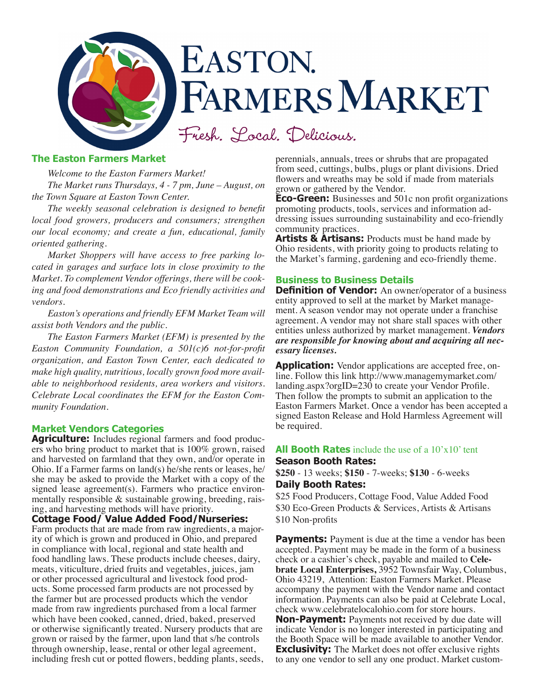

### **The Easton Farmers Market**

*Welcome to the Easton Farmers Market!* 

*The Market runs Thursdays, 4 - 7 pm, June – August, on the Town Square at Easton Town Center.* 

*The weekly seasonal celebration is designed to benefit local food growers, producers and consumers; strengthen our local economy; and create a fun, educational, family oriented gathering.* 

*Market Shoppers will have access to free parking located in garages and surface lots in close proximity to the Market. To complement Vendor offerings, there will be cooking and food demonstrations and Eco friendly activities and vendors.* 

*Easton's operations and friendly EFM Market Team will assist both Vendors and the public.*

*The Easton Farmers Market (EFM) is presented by the Easton Community Foundation, a 501(c)6 not-for-profit organization, and Easton Town Center, each dedicated to make high quality, nutritious, locally grown food more available to neighborhood residents, area workers and visitors. Celebrate Local coordinates the EFM for the Easton Community Foundation.*

### **Market Vendors Categories**

**Agriculture:** Includes regional farmers and food producers who bring product to market that is 100% grown, raised and harvested on farmland that they own, and/or operate in Ohio. If a Farmer farms on land(s) he/she rents or leases, he/ she may be asked to provide the Market with a copy of the signed lease agreement(s). Farmers who practice environmentally responsible & sustainable growing, breeding, raising, and harvesting methods will have priority.

**Cottage Food/ Value Added Food/Nurseries:**  Farm products that are made from raw ingredients, a major-

ity of which is grown and produced in Ohio, and prepared in compliance with local, regional and state health and food handling laws. These products include cheeses, dairy, meats, viticulture, dried fruits and vegetables, juices, jam or other processed agricultural and livestock food products. Some processed farm products are not processed by the farmer but are processed products which the vendor made from raw ingredients purchased from a local farmer which have been cooked, canned, dried, baked, preserved or otherwise significantly treated. Nursery products that are grown or raised by the farmer, upon land that s/he controls through ownership, lease, rental or other legal agreement, including fresh cut or potted flowers, bedding plants, seeds, perennials, annuals, trees or shrubs that are propagated from seed, cuttings, bulbs, plugs or plant divisions. Dried flowers and wreaths may be sold if made from materials grown or gathered by the Vendor.

**Eco-Green:** Businesses and 501c non profit organizations promoting products, tools, services and information addressing issues surrounding sustainability and eco-friendly community practices.

**Artists & Artisans:** Products must be hand made by Ohio residents, with priority going to products relating to the Market's farming, gardening and eco-friendly theme.

## **Business to Business Details**

**Definition of Vendor:** An owner/operator of a business entity approved to sell at the market by Market management. A season vendor may not operate under a franchise agreement. A vendor may not share stall spaces with other entities unless authorized by market management. *Vendors are responsible for knowing about and acquiring all necessary licenses.* 

**Application:** Vendor applications are accepted free, online. Follow this link http://www.managemymarket.com/ landing.aspx?orgID=230 to create your Vendor Profile. Then follow the prompts to submit an application to the Easton Farmers Market. Once a vendor has been accepted a signed Easton Release and Hold Harmless Agreement will be required.

## **All Booth Rates** include the use of a 10'x10' tent **Season Booth Rates:**

**\$250** - 13 weeks; **\$150** - 7-weeks; **\$130** - 6-weeks **Daily Booth Rates:** 

\$25 Food Producers, Cottage Food, Value Added Food \$30 Eco-Green Products & Services, Artists & Artisans \$10 Non-profits

**Payments:** Payment is due at the time a vendor has been accepted. Payment may be made in the form of a business check or a cashier's check, payable and mailed to **Celebrate Local Enterprises,** 3952 Townsfair Way, Columbus, Ohio 43219, Attention: Easton Farmers Market. Please accompany the payment with the Vendor name and contact information. Payments can also be paid at Celebrate Local, check www.celebratelocalohio.com for store hours.

**Non-Payment:** Payments not received by due date will indicate Vendor is no longer interested in participating and the Booth Space will be made available to another Vendor. **Exclusivity:** The Market does not offer exclusive rights to any one vendor to sell any one product. Market custom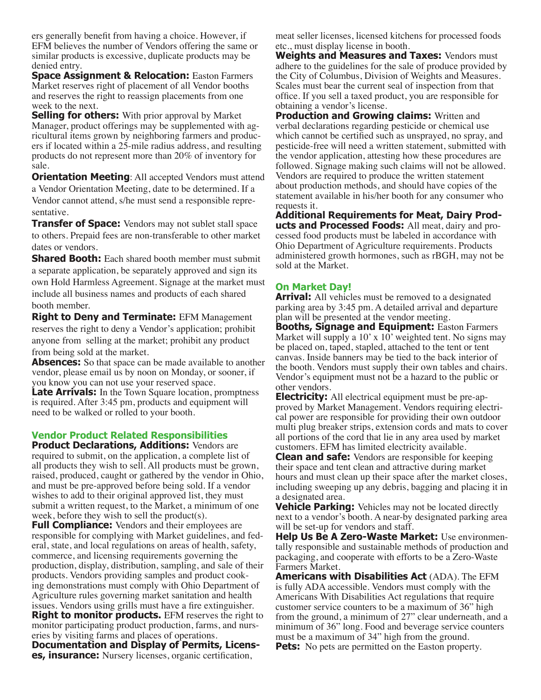ers generally benefit from having a choice. However, if EFM believes the number of Vendors offering the same or similar products is excessive, duplicate products may be denied entry.

**Space Assignment & Relocation: Easton Farmers** Market reserves right of placement of all Vendor booths and reserves the right to reassign placements from one week to the next.

**Selling for others:** With prior approval by Market Manager, product offerings may be supplemented with agricultural items grown by neighboring farmers and producers if located within a 25-mile radius address, and resulting products do not represent more than 20% of inventory for sale.

**Orientation Meeting: All accepted Vendors must attend** a Vendor Orientation Meeting, date to be determined. If a Vendor cannot attend, s/he must send a responsible representative.

**Transfer of Space:** Vendors may not sublet stall space to others. Prepaid fees are non-transferable to other market dates or vendors.

**Shared Booth:** Each shared booth member must submit a separate application, be separately approved and sign its own Hold Harmless Agreement. Signage at the market must include all business names and products of each shared booth member.

**Right to Deny and Terminate:** EFM Management reserves the right to deny a Vendor's application; prohibit anyone from selling at the market; prohibit any product from being sold at the market.

**Absences:** So that space can be made available to another vendor, please email us by noon on Monday, or sooner, if you know you can not use your reserved space.

**Late Arrivals:** In the Town Square location, promptness is required. After 3:45 pm, products and equipment will need to be walked or rolled to your booth.

#### **Vendor Product Related Responsibilities Product Declarations, Additions:** Vendors are

required to submit, on the application, a complete list of all products they wish to sell. All products must be grown, raised, produced, caught or gathered by the vendor in Ohio, and must be pre-approved before being sold. If a vendor wishes to add to their original approved list, they must submit a written request, to the Market, a minimum of one week, before they wish to sell the product(s).

**Full Compliance:** Vendors and their employees are responsible for complying with Market guidelines, and federal, state, and local regulations on areas of health, safety, commerce, and licensing requirements governing the production, display, distribution, sampling, and sale of their products. Vendors providing samples and product cooking demonstrations must comply with Ohio Department of Agriculture rules governing market sanitation and health issues. Vendors using grills must have a fire extinguisher. **Right to monitor products.** EFM reserves the right to monitor participating product production, farms, and nurseries by visiting farms and places of operations. **Documentation and Display of Permits, Licenses, insurance:** Nursery licenses, organic certification,

meat seller licenses, licensed kitchens for processed foods etc., must display license in booth.

**Weights and Measures and Taxes:** Vendors must adhere to the guidelines for the sale of produce provided by the City of Columbus, Division of Weights and Measures. Scales must bear the current seal of inspection from that office. If you sell a taxed product, you are responsible for obtaining a vendor's license.

**Production and Growing claims: Written and** verbal declarations regarding pesticide or chemical use which cannot be certified such as unsprayed, no spray, and pesticide-free will need a written statement, submitted with the vendor application, attesting how these procedures are followed. Signage making such claims will not be allowed. Vendors are required to produce the written statement about production methods, and should have copies of the statement available in his/her booth for any consumer who requests it.

**Additional Requirements for Meat, Dairy Products and Processed Foods:** All meat, dairy and processed food products must be labeled in accordance with Ohio Department of Agriculture requirements. Products administered growth hormones, such as rBGH, may not be sold at the Market.

## **On Market Day!**

**Arrival:** All vehicles must be removed to a designated parking area by 3:45 pm. A detailed arrival and departure plan will be presented at the vendor meeting.

**Booths, Signage and Equipment:** Easton Farmers Market will supply a 10' x 10' weighted tent. No signs may be placed on, taped, stapled, attached to the tent or tent canvas. Inside banners may be tied to the back interior of the booth. Vendors must supply their own tables and chairs. Vendor's equipment must not be a hazard to the public or other vendors.

**Electricity:** All electrical equipment must be pre-approved by Market Management. Vendors requiring electrical power are responsible for providing their own outdoor multi plug breaker strips, extension cords and mats to cover all portions of the cord that lie in any area used by market customers. EFM has limited electricity available.

**Clean and safe:** Vendors are responsible for keeping their space and tent clean and attractive during market hours and must clean up their space after the market closes, including sweeping up any debris, bagging and placing it in a designated area.

**Vehicle Parking:** Vehicles may not be located directly next to a vendor's booth. A near-by designated parking area will be set-up for vendors and staff.

**Help Us Be A Zero-Waste Market:** Use environmentally responsible and sustainable methods of production and packaging, and cooperate with efforts to be a Zero-Waste Farmers Market.

**Americans with Disabilities Act** (ADA). The EFM is fully ADA accessible. Vendors must comply with the Americans With Disabilities Act regulations that require customer service counters to be a maximum of 36" high from the ground, a minimum of 27" clear underneath, and a minimum of 36" long. Food and beverage service counters must be a maximum of 34" high from the ground.

**Pets:** No pets are permitted on the Easton property.